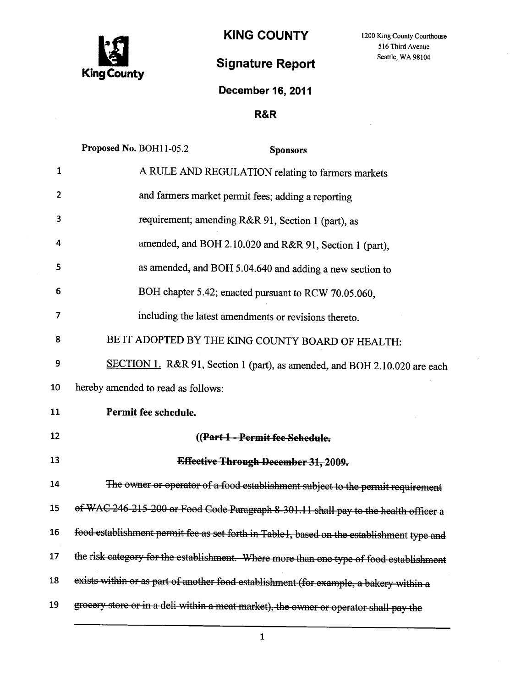

KING COUNTY 1200 King County Courthouse

516 Third Avenue

# Signature Report Seattle, WA 98104

## December 16, 2011

### R&R

|                 | Proposed No. BOH11-05.2<br><b>Sponsors</b>                                                |
|-----------------|-------------------------------------------------------------------------------------------|
| $\mathbf{1}$    | A RULE AND REGULATION relating to farmers markets                                         |
| 2               | and farmers market permit fees; adding a reporting                                        |
| 3               | requirement; amending R&R 91, Section 1 (part), as                                        |
| 4               | amended, and BOH 2.10.020 and R&R 91, Section 1 (part),                                   |
| 5               | as amended, and BOH 5.04.640 and adding a new section to                                  |
| 6               | BOH chapter 5.42; enacted pursuant to RCW 70.05.060,                                      |
| 7               | including the latest amendments or revisions thereto.                                     |
| 8               | BE IT ADOPTED BY THE KING COUNTY BOARD OF HEALTH:                                         |
| 9               | SECTION 1. R&R 91, Section 1 (part), as amended, and BOH 2.10.020 are each                |
| 10              | hereby amended to read as follows:                                                        |
| 11              |                                                                                           |
|                 | Permit fee schedule.                                                                      |
| 12              | ((Part 1 - Permit fee Sehedule.                                                           |
| 13              | Effective Through December 31, 2009.                                                      |
| 14              | The owner or operator of a food establishment subject to the permit requirement           |
| 15              | of WAC 246-215-200 or Food Code Paragraph 8-301.11 shall pay to the health officer a      |
| 16 <sup>1</sup> | food establishment permit fee as set forth in Table1, based on the establishment type and |
| 17              | the risk category for the establishment. Where more than one type of food establishment   |
| 18              | exists within or as part of another food establishment (for example, a bakery within a    |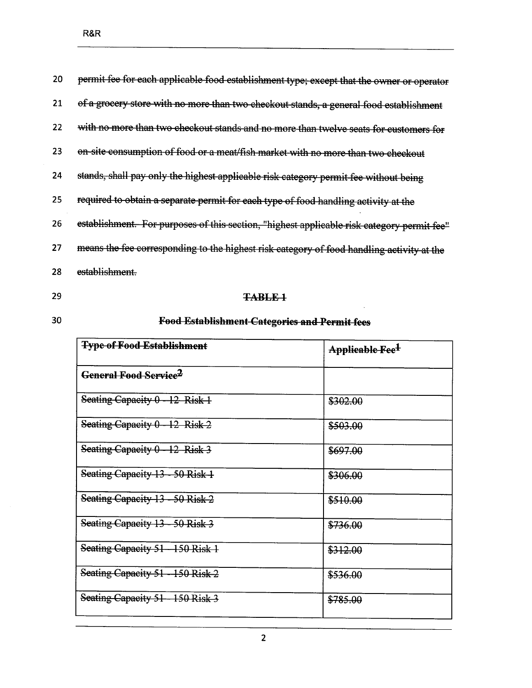| 20 | permit fee for each applicable food establishment type; except that the owner or operator  |
|----|--------------------------------------------------------------------------------------------|
| 21 | of a grocery store with no more than two checkout stands, a general food establishment     |
| 22 | with no more than two checkout stands and no more than twelve seats for customers for      |
| 23 | on-site consumption of food or a meat/fish market with no more than two checkout           |
| 24 | stands, shall pay only the highest applicable risk category permit fee without being       |
| 25 | required to obtain a separate permit for each type of food handling activity at the        |
| 26 | establishment. For purposes of this section, "highest applicable risk category permit fee" |
| 27 | means the fee corresponding to the highest risk category of food handling activity at the  |
| 28 | establishment.                                                                             |
|    |                                                                                            |

## TABLE-1

 $30<sub>o</sub>$ 

## **Food Establishment Categories and Permit fees**

| <b>Type of Food Establishment</b> | <del>Applicable Fee<sup>1</sup></del> |
|-----------------------------------|---------------------------------------|
| General Food Service <sup>2</sup> |                                       |
| Seating Capacity $0 - 12$ Risk 1  | \$302.00                              |
| Seating Capacity $0 - 12$ Risk 2  | \$503.00                              |
| Seating Capacity 0 - 12 Risk 3    | \$697.00                              |
| Seating Capacity 13 - 50 Risk 1   | \$306.00                              |
| Seating Capacity 13 - 50 Risk 2   | \$510.00                              |
| Seating Capacity 13 - 50 Risk 3   | \$736.00                              |
| Seating Capacity 51-150 Risk 1    | \$312.00                              |
| Seating Capacity 51 - 150 Risk 2  | \$536.00                              |
| Seating Capacity 51 - 150 Risk 3  | \$785.00                              |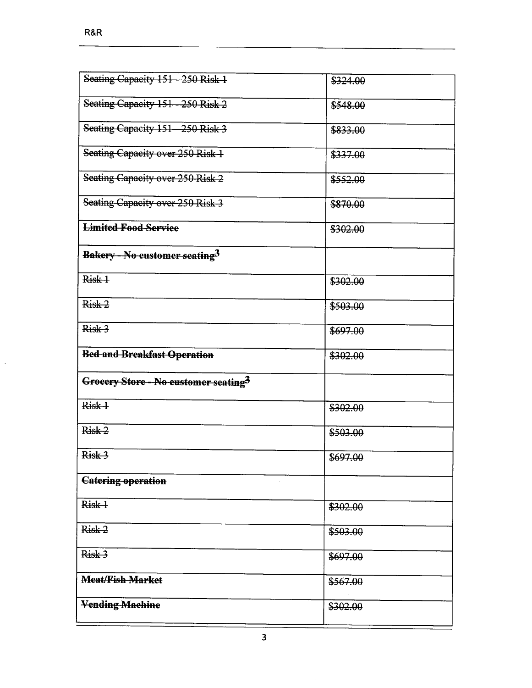$\hat{\mathcal{A}}$ 

 $\hat{\boldsymbol{\beta}}$ 

| Seating Capacity 151 - 250 Risk 1                | \$324.00 |
|--------------------------------------------------|----------|
| Seating Capacity 151 - 250 Risk 2                | \$548.00 |
| Seating Capacity 151 - 250 Risk 3                | \$833.00 |
| Seating Capacity over 250 Risk 1                 | \$337.00 |
| Seating Capacity over 250 Risk 2                 | \$552.00 |
| Seating Capacity over 250 Risk 3                 | \$870.00 |
| <b>Limited Food Service</b>                      | \$302.00 |
| <b>Bakery - No customer seating<sup>3</sup></b>  |          |
| Risk 1                                           | \$302.00 |
| Risk <sub>2</sub>                                | \$503.00 |
| Risk 3                                           | \$697.00 |
|                                                  |          |
| <b>Bed and Breakfast Operation</b>               | \$302.00 |
| Groecry Store - No customer seating <sup>3</sup> |          |
| Risk 1                                           | \$302.00 |
| Risk-2                                           | \$503.00 |
| Risk 3                                           | \$697.00 |
| <b>Catering operation</b>                        |          |
| Risk +                                           | \$302.00 |
| $Risk-2$                                         | \$503.00 |
| Risk 3                                           | \$697.00 |
| <b>Meat/Fish Market</b>                          | \$567.00 |
| <b>Vending Machine</b>                           | \$302.00 |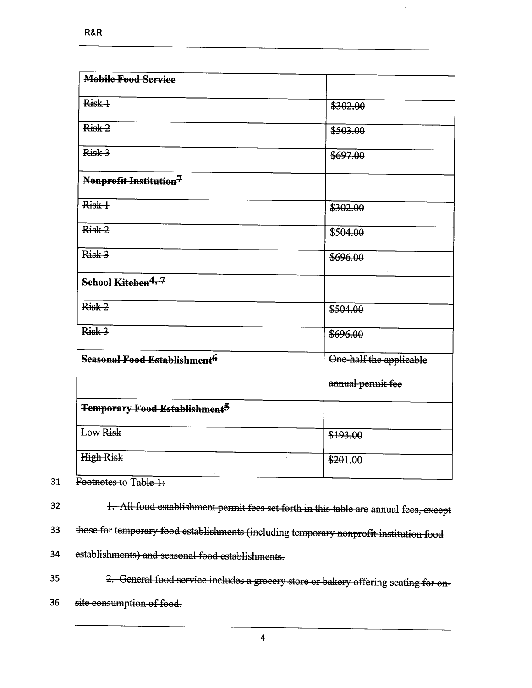| <b>Mobile Food Service</b>                |                         |
|-------------------------------------------|-------------------------|
| Risk +                                    | \$302.00                |
| Risk 2                                    | \$503.00                |
| $Risk-3$                                  | \$697.00                |
| Nonprofit Institution <sup>7</sup>        |                         |
| Risk +                                    | \$302.00                |
| $Risk-2$                                  | \$504.00                |
| Risk 3                                    | \$696.00                |
| School Kitchen <sup>4, 7</sup>            |                         |
| Risk <sub>2</sub>                         | \$504.00                |
| Risk 3                                    | \$696.00                |
| Seasonal Food Establishment <sup>6</sup>  | One-half the applicable |
|                                           | annual permit fee       |
| Temporary Food Establishment <sup>5</sup> |                         |
| Low Risk                                  | \$193.00                |
| <b>High Risk</b>                          | \$201.00                |

31 Footnotes to Table 1:

32 1. All food establishment permit fees set forth in this table are annual fees, except

J

33 those for temporary food establishments (including temporary nonprofit institution food

34 establishments) and seasonal food establishments.

35 2. General food service includes a grocery store or bakery offering seating for on

36 site consumption of food.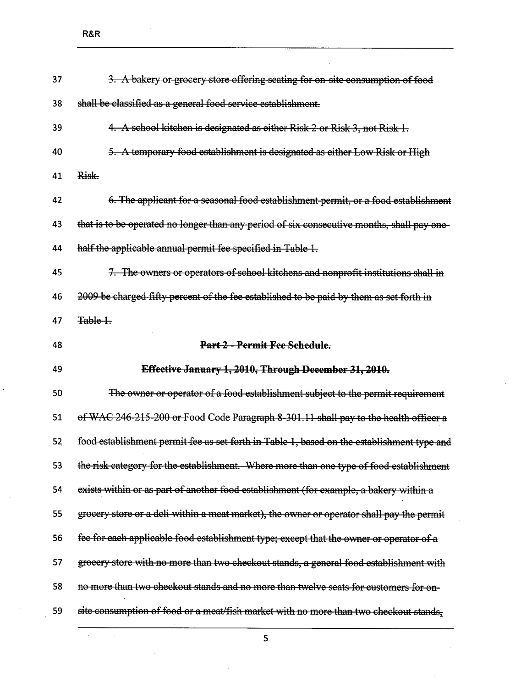$\bar{\mathcal{A}}$ 

| 37 | 3. A bakery or grocery store offering seating for on-site consumption of food              |
|----|--------------------------------------------------------------------------------------------|
| 38 | shall be classified as a general food service establishment.                               |
| 39 | 4. A school kitchen is designated as either Risk 2 or Risk 3, not Risk 1.                  |
| 40 | 5. A temporary food establishment is designated as either Low Risk or High                 |
| 41 | Risk.                                                                                      |
| 42 | 6. The applicant for a seasonal food establishment permit, or a food establishment         |
| 43 | that is to be operated no longer than any period of six consecutive months, shall pay one- |
| 44 | half the applicable annual permit fee specified in Table 1.                                |
| 45 | 7. The owners or operators of school kitchens and nonprofit institutions shall in          |
| 46 | 2009 be charged fifty percent of the fee established to be paid by them as set forth in    |
| 47 | Table 1.                                                                                   |
| 48 | Part 2 - Permit Fee Schedule.                                                              |
|    |                                                                                            |
| 49 | Effective January 1, 2010, Through December 31, 2010.                                      |
| 50 | The owner or operator of a food establishment subject to the permit requirement            |
| 51 | of WAC 246-215-200 or Food Code Paragraph 8-301.11 shall pay to the health officer a       |
| 52 | food establishment permit fee as set forth in Table 1, based on the establishment type and |
| 53 | the risk category for the establishment. Where more than one type of food establishment    |
| 54 | exists within or as part of another food establishment (for example, a bakery within a     |
| 55 | grocery store or a deli within a meat market), the owner or operator shall pay the permit  |
| 56 | fee for each applicable food establishment type; except that the owner or operator of a    |
| 57 | grocery store with no more than two checkout stands, a general food establishment with     |
| 58 | no more than two checkout stands and no more than twelve seats for customers for on-       |
| 59 | site consumption of food or a meat/fish market with no more than two checkout stands,      |

 $\overline{\mathbf{5}}$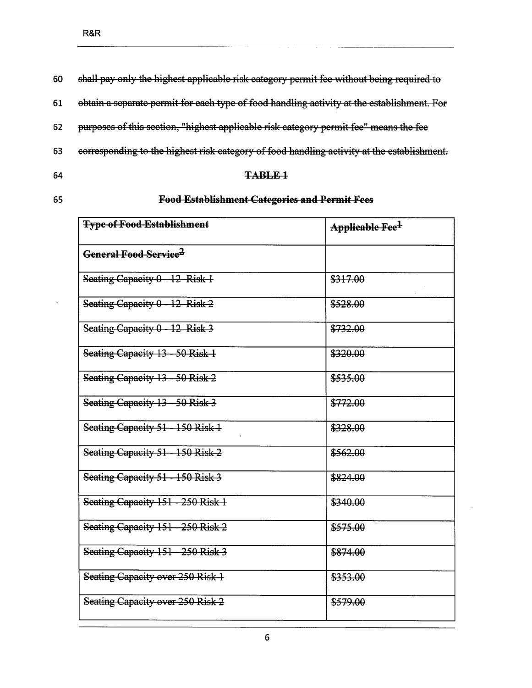| 60 | shall pay only the highest applicable risk category permit fee without being required to   |
|----|--------------------------------------------------------------------------------------------|
| 61 | obtain a separate permit for each type of food handling activity at the establishment. For |
| 62 | purposes of this section, "highest applicable risk category permit fee" means the fee      |
| 63 | corresponding to the highest risk category of food handling activity at the establishment. |
| 64 | <del>TABLE 1</del>                                                                         |

### **Food Establishment Categories and Permit Fees**

| <b>Type of Food Establishment</b> | Applicable Fee <sup>1</sup> |
|-----------------------------------|-----------------------------|
| General Food Service <sup>2</sup> |                             |
| Seating Capacity 0 - 12 Risk 1    | \$317.00                    |
| Seating Capacity $0 - 12$ Risk 2  | \$528.00                    |
| Seating Capacity $0 - 12$ Risk 3  | \$732.00                    |
| Seating Capacity 13 - 50 Risk 1   | \$320.00                    |
| Seating Capacity 13 - 50 Risk 2   | \$535.00                    |
| Seating Capacity 13 - 50 Risk 3   | \$772.00                    |
| Seating Capacity 51 - 150 Risk 1  | \$328.00                    |
| Seating Capacity 51 - 150 Risk 2  | \$562.00                    |
| Seating Capacity 51 - 150 Risk 3  | \$824.00                    |
| Seating Capacity 151 - 250 Risk 1 | \$340.00                    |
| Seating Capacity 151 - 250 Risk 2 | \$575.00                    |
| Seating Capacity 151 - 250 Risk 3 | \$874.00                    |
| Seating Capacity over 250 Risk-1  | \$353.00                    |
| Seating Capacity over 250 Risk 2  | \$579.00                    |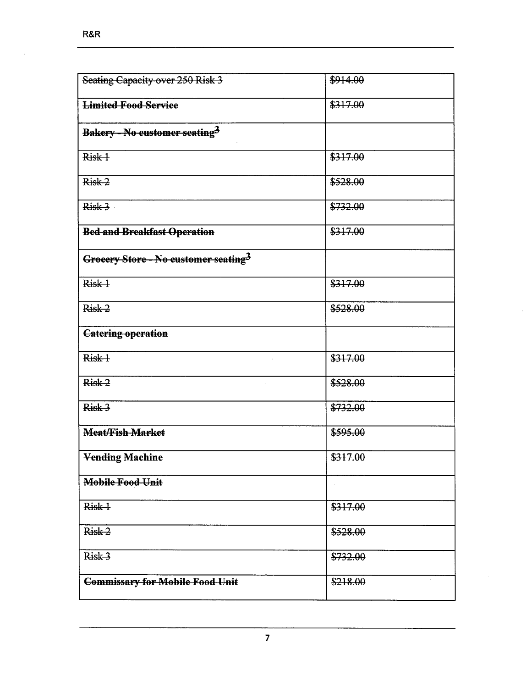| Seating Capacity over 250 Risk 3                 | \$914.00 |
|--------------------------------------------------|----------|
| <b>Limited Food Service</b>                      | \$317.00 |
| Bakery - No customer seating <sup>3</sup>        |          |
| Risk +                                           | \$317.00 |
| Risk-2                                           | \$528.00 |
| Risk-3                                           | \$732.00 |
| <b>Bed and Breakfast Operation</b>               | \$317.00 |
| Groeery Store - No eustomer seating <sup>3</sup> |          |
| Risk 1                                           | \$317.00 |
| Risk-2                                           | \$528.00 |
| <b>Catering operation</b>                        |          |
| Risk 1                                           | \$317.00 |
| Risk <sub>2</sub>                                | \$528.00 |
| Risk 3                                           | \$732.00 |
| <b>Meat/Fish Market</b>                          | \$595.00 |
| <b>Vending Machine</b>                           | \$317.00 |
| Mobile Food Unit                                 |          |
| Risk-1                                           | \$317.00 |
| Risk-2                                           | \$528.00 |
| Risk 3                                           | \$732.00 |
| <b>Commissary for Mobile Food Unit</b>           | \$218.00 |

 $\sim$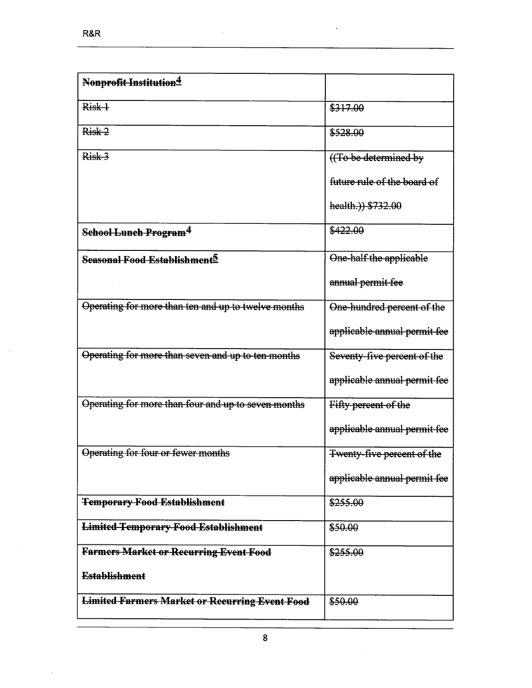$\bar{z}$ 

| Nonprofit Institution <sup>4</sup>                    |                              |
|-------------------------------------------------------|------------------------------|
| Risk <sub>+</sub>                                     | \$317.00                     |
| Risk 2                                                | \$528.00                     |
| Risk 3                                                | ((To be determined by        |
|                                                       | future rule of the board of  |
|                                                       | health.) \$732.00            |
| School Lunch Program <sup>4</sup>                     | \$422.00                     |
| Seasonal Food Establishment <sup>5</sup>              | One-half the applicable      |
|                                                       | annual permit fee            |
| Operating for more than ten and up to twelve months   | One-hundred percent of the   |
|                                                       | applicable annual permit fee |
| Operating for more than seven and up to ten months    | Seventy-five percent of the  |
|                                                       | applicable annual permit fee |
| Operating for more than four and up to seven months   | Fifty percent of the         |
|                                                       | applicable annual permit fee |
| Operating for four or fewer months                    | Twenty-five percent of the   |
|                                                       | applicable annual permit fee |
| <b>Temporary Food Establishment</b>                   | \$255.00                     |
| <b>Limited Temporary Food Establishment</b>           | \$50.00                      |
| <b>Farmers Market or Recurring Event Food</b>         | \$255.00                     |
| <b>Establishment</b>                                  |                              |
| <b>Limited Farmers Market or Recurring Event Food</b> | \$50.00                      |

 $\bar{z}$ 

 $\bar{z}$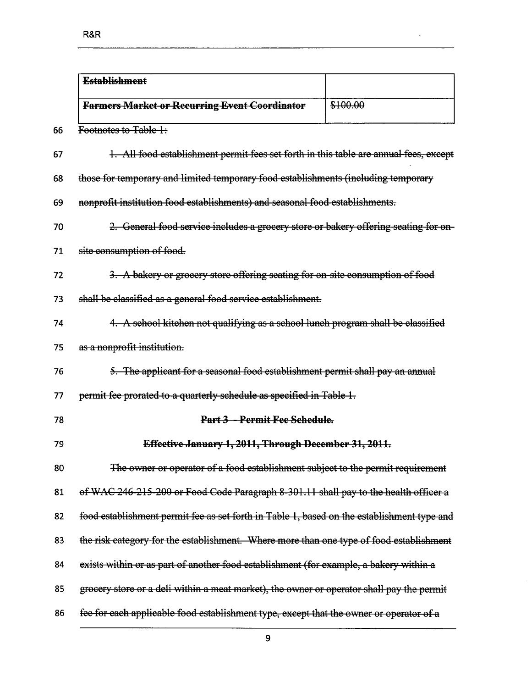| <b>Establishment</b>                                                                       |          |
|--------------------------------------------------------------------------------------------|----------|
| <b>Farmers Market or Recurring Event Coordinator</b>                                       | \$100.00 |
| Footnotes to Table 1:                                                                      |          |
| 1. All food establishment permit fees set forth in this table are annual fees, except      |          |
| those for temporary and limited temporary food establishments (including temporary         |          |
| nonprofit institution food establishments) and seasonal food establishments.               |          |
| 2. General food service includes a grocery store or bakery offering seating for on-        |          |
| site consumption of food.                                                                  |          |
| 3. A bakery or grocery store offering seating for on-site consumption of food              |          |
| shall be classified as a general food service establishment.                               |          |
| 4. A school kitchen not qualifying as a school lunch program shall be classified           |          |
| as a nonprofit institution.                                                                |          |
| 5. The applicant for a seasonal food establishment permit shall pay an annual              |          |
| permit fee prorated to a quarterly schedule as specified in Table 1.                       |          |
| Part 3 - Permit Fee Sehedule.                                                              |          |
| Effective January 1, 2011, Through December 31, 2011.                                      |          |
| The owner or operator of a food establishment subject to the permit requirement            |          |
| of WAC 246-215-200 or Food Code Paragraph 8-301.11 shall pay to the health officer a       |          |
| food establishment permit fee as set forth in Table 1, based on the establishment type and |          |
| the risk category for the establishment. Where more than one type of food establishment    |          |
| exists within or as part of another food establishment (for example, a bakery within a     |          |
| grocery store or a deli within a meat market), the owner or operator shall pay the permit  |          |
| fee for each applicable food establishment type, except that the owner or operator of a    |          |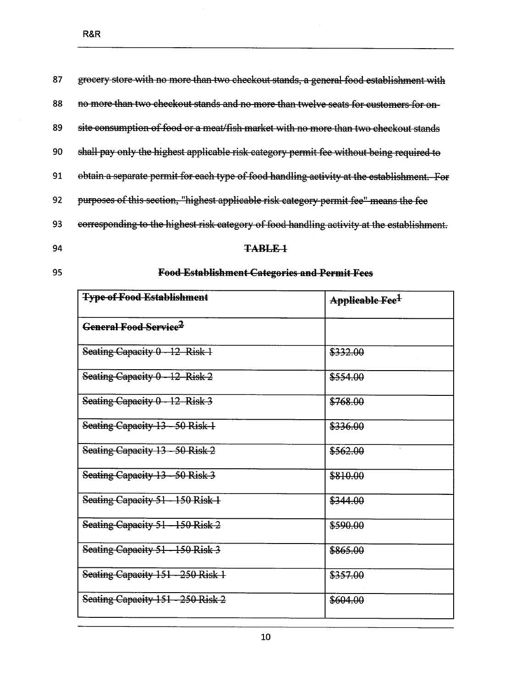| 87 | grocery store with no more than two checkout stands, a general food establishment with     |
|----|--------------------------------------------------------------------------------------------|
| 88 | no more than two checkout stands and no more than twelve seats for customers for on-       |
| 89 | site consumption of food or a meat/fish market with no more than two checkout stands       |
| 90 | shall pay only the highest applicable risk category permit fee without being required to   |
| 91 | obtain a separate permit for each type of food handling activity at the establishment. For |
| 92 | purposes of this section, "highest applicable risk category permit fee" means the fee      |
| 93 | corresponding to the highest risk category of food handling activity at the establishment. |

### TABLE 1

95

## **Food Establishment Categories and Permit Fees**

| <b>Type of Food Establishment</b>       | <del>Applicable Fee<sup>1</sup></del> |
|-----------------------------------------|---------------------------------------|
| <b>General Food Service<sup>2</sup></b> |                                       |
| Seating Capacity 0 - 12 Risk 1          | \$332.00                              |
| Seating Capacity 0 - 12 Risk 2          | \$554.00                              |
| Seating Capacity 0 - 12 Risk 3          | \$768.00                              |
| Seating Capacity 13 - 50 Risk 1         | \$336.00                              |
| Seating Capacity 13 - 50 Risk 2         | \$562.00                              |
| Seating Capacity 13 - 50 Risk 3         | \$810.00                              |
| Seating Capacity 51 - 150 Risk 1        | \$344.00                              |
| Seating Capacity 51 - 150 Risk 2        | \$590.00                              |
| Seating Capacity 51 - 150 Risk 3        | \$865.00                              |
| Seating Capacity 151 - 250 Risk 1       | \$357.00                              |
| Seating Capacity 151 - 250 Risk 2       | \$604.00                              |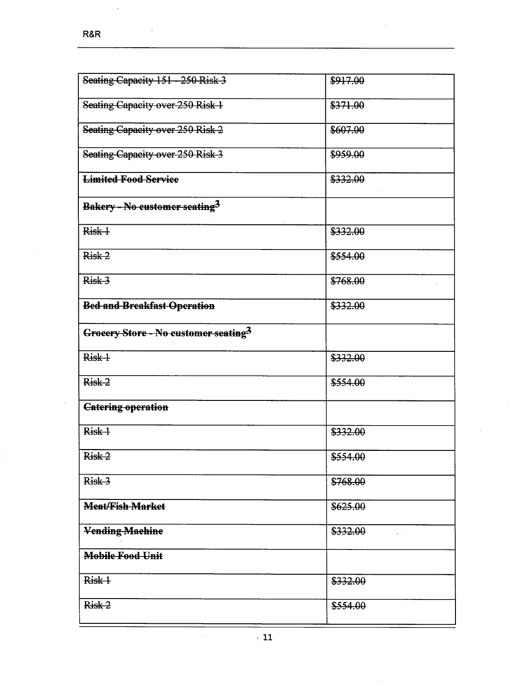| Seating Capacity 151 - 250 Risk 3                | \$917.00 |
|--------------------------------------------------|----------|
| Seating Capacity over 250 Risk 1                 | \$371.00 |
| Seating Capacity over 250 Risk 2                 | \$607.00 |
| Seating Capacity over 250 Risk 3                 | \$959.00 |
| <b>Limited Food Service</b>                      | \$332.00 |
| Bakery - No customer seating <sup>3</sup>        |          |
| Risk 1                                           | \$332.00 |
| Risk 2                                           | \$554.00 |
| Risk 3                                           | \$768.00 |
| <b>Bed and Breakfast Operation</b>               | \$332.00 |
| Grocery Store - No customer seating <sup>3</sup> |          |
| Risk 1                                           | \$332.00 |
| Risk <sub>2</sub>                                | \$554.00 |
| <b>Catering operation</b>                        |          |
| Risk-1                                           | \$332.00 |
| Risk 2                                           | \$554.00 |
| Risk 3                                           | \$768.00 |
| <b>Meat/Fish Market</b>                          | \$625.00 |
| <b>Vending-Machine</b>                           | \$332.00 |
| <b>Mobile Food Unit</b>                          |          |
| Risk 1                                           | \$332.00 |
| Risk 2                                           | \$554.00 |

ł,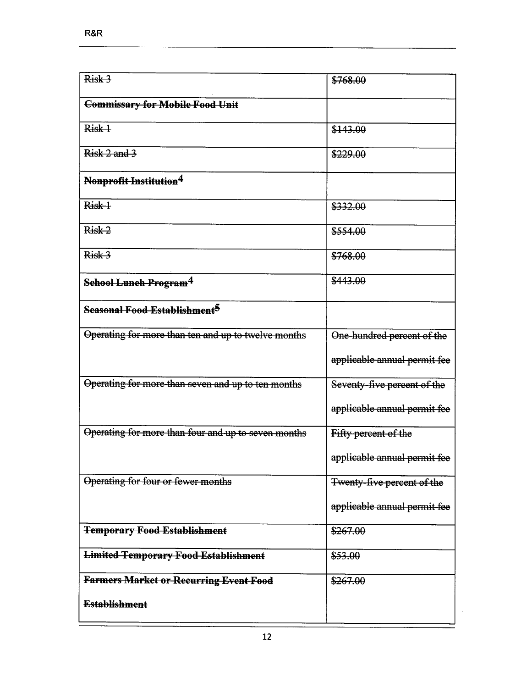| Risk 3                                              | \$768.00                     |
|-----------------------------------------------------|------------------------------|
| <b>Commissary for Mobile Food Unit</b>              |                              |
| Risk 1                                              | \$143.00                     |
| Risk 2 and 3                                        | \$229,00                     |
| Nonprofit Institution <sup>4</sup>                  |                              |
| Risk-1                                              | \$332.00                     |
| Risk <sub>2</sub>                                   | \$554.00                     |
| Risk 3                                              | \$768.00                     |
| School Lunch Program <sup>4</sup>                   | \$443.00                     |
| Seasonal Food Establishment <sup>5</sup>            |                              |
| Operating for more than ten and up to twelve months | One-hundred percent of the   |
|                                                     | applicable annual permit fee |
| Operating for more than seven and up to ten months  | Seventy-five percent of the  |
|                                                     | applicable annual permit fee |
| Operating for more than four and up to seven months | Fifty percent of the         |
|                                                     | applicable annual permit fee |
| Operating for four or fewer months                  | Twenty-five percent of the   |
|                                                     | applicable annual permit fee |
| <b>Temporary Food Establishment</b>                 | \$267.00                     |
| <b>Limited Temporary Food Establishment</b>         | \$53.00                      |
| <b>Farmers Market or Recurring Event Food</b>       | \$267.00                     |
| <b>Establishment</b>                                |                              |

 $\hat{\mathcal{A}}$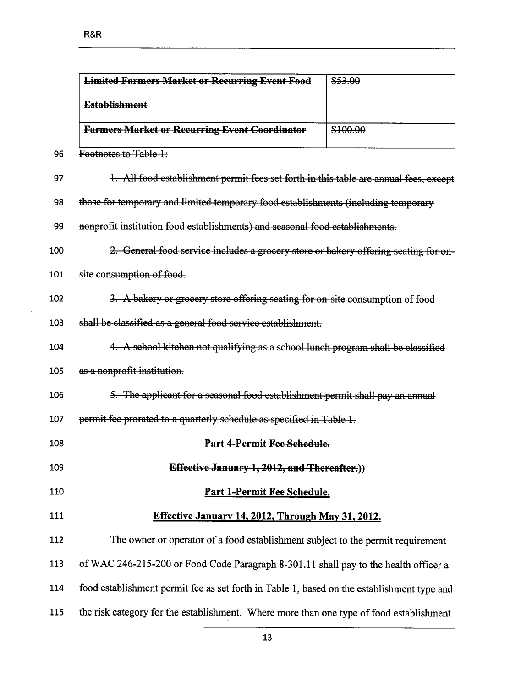$\alpha$ 

|     | <b>Limited Farmers Market or Recurring Event Food</b>                                      | \$53.00  |
|-----|--------------------------------------------------------------------------------------------|----------|
|     | <b>Establishment</b>                                                                       |          |
|     | <b>Farmers Market or Recurring Event Coordinator</b>                                       | \$100.00 |
| 96  | Footnotes to Table 1:                                                                      |          |
| 97  | 1. All food establishment permit fees set forth in this table are annual fees, except      |          |
| 98  | those for temporary and limited temporary food establishments (including temporary         |          |
| 99  | nonprofit institution food establishments) and seasonal food establishments.               |          |
| 100 | 2. General food service includes a grocery store or bakery offering seating for on-        |          |
| 101 | site consumption of food.                                                                  |          |
| 102 | 3. A bakery or grocery store offering seating for on-site consumption of food              |          |
| 103 | shall be classified as a general food service establishment.                               |          |
| 104 | 4. A school kitchen not qualifying as a school lunch program shall be classified           |          |
| 105 | as a nonprofit institution.                                                                |          |
| 106 | 5. The applicant for a seasonal food establishment permit shall pay an annual              |          |
| 107 | permit fee prorated to a quarterly schedule as specified in Table 1.                       |          |
| 108 | Part 4-Permit Fee Schedule.                                                                |          |
| 109 | Effective January 1, 2012, and Thereafter.))                                               |          |
| 110 | Part 1-Permit Fee Schedule.                                                                |          |
| 111 | Effective January 14, 2012, Through May 31, 2012.                                          |          |
| 112 | The owner or operator of a food establishment subject to the permit requirement            |          |
| 113 | of WAC 246-215-200 or Food Code Paragraph 8-301.11 shall pay to the health officer a       |          |
| 114 | food establishment permit fee as set forth in Table 1, based on the establishment type and |          |
| 115 | the risk category for the establishment. Where more than one type of food establishment    |          |

 $\bar{\mathcal{A}}$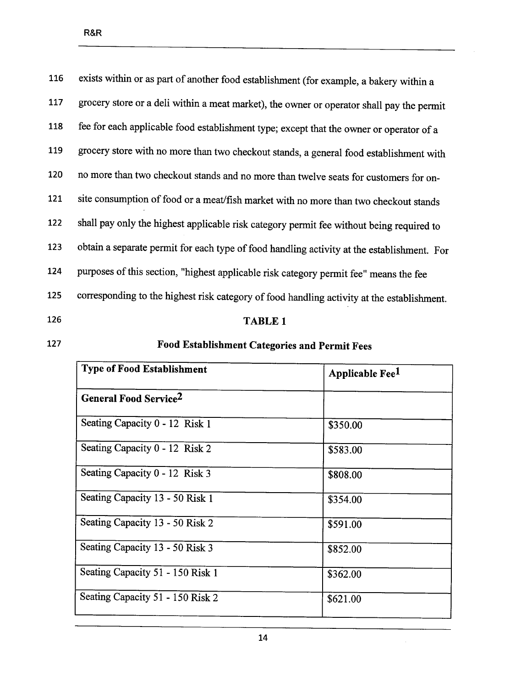| 116 | exists within or as part of another food establishment (for example, a bakery within a     |
|-----|--------------------------------------------------------------------------------------------|
| 117 | grocery store or a deli within a meat market), the owner or operator shall pay the permit  |
| 118 | fee for each applicable food establishment type; except that the owner or operator of a    |
| 119 | grocery store with no more than two checkout stands, a general food establishment with     |
| 120 | no more than two checkout stands and no more than twelve seats for customers for on-       |
| 121 | site consumption of food or a meat/fish market with no more than two checkout stands       |
| 122 | shall pay only the highest applicable risk category permit fee without being required to   |
| 123 | obtain a separate permit for each type of food handling activity at the establishment. For |
| 124 | purposes of this section, "highest applicable risk category permit fee" means the fee      |
| 125 | corresponding to the highest risk category of food handling activity at the establishment. |
| 126 | <b>TABLE 1</b>                                                                             |

## 127 Food Establishment Categories and Permit Fees

| <b>Type of Food Establishment</b> | Applicable Fee <sup>1</sup> |
|-----------------------------------|-----------------------------|
| General Food Service <sup>2</sup> |                             |
| Seating Capacity 0 - 12 Risk 1    | \$350.00                    |
| Seating Capacity 0 - 12 Risk 2    | \$583.00                    |
| Seating Capacity 0 - 12 Risk 3    | \$808.00                    |
| Seating Capacity 13 - 50 Risk 1   | \$354.00                    |
| Seating Capacity 13 - 50 Risk 2   | \$591.00                    |
| Seating Capacity 13 - 50 Risk 3   | \$852.00                    |
| Seating Capacity 51 - 150 Risk 1  | \$362.00                    |
| Seating Capacity 51 - 150 Risk 2  | \$621.00                    |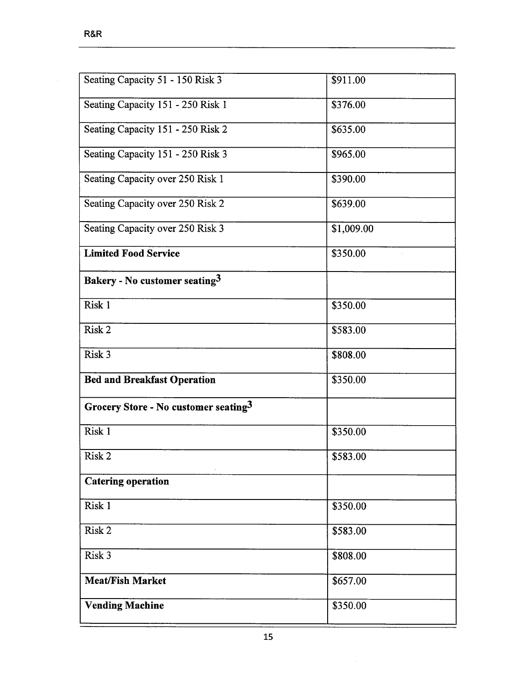| Seating Capacity 51 - 150 Risk 3          | \$911.00   |
|-------------------------------------------|------------|
| Seating Capacity 151 - 250 Risk 1         | \$376.00   |
| Seating Capacity 151 - 250 Risk 2         | \$635.00   |
| Seating Capacity 151 - 250 Risk 3         | \$965.00   |
| Seating Capacity over 250 Risk 1          | \$390.00   |
| Seating Capacity over 250 Risk 2          | \$639.00   |
| Seating Capacity over 250 Risk 3          | \$1,009.00 |
| <b>Limited Food Service</b>               | \$350.00   |
| Bakery - No customer seating <sup>3</sup> |            |
| Risk 1                                    | \$350.00   |
| Risk 2                                    | \$583.00   |
| Risk 3                                    | \$808.00   |
| <b>Bed and Breakfast Operation</b>        | \$350.00   |
| Grocery Store - No customer seating $3$   |            |
| Risk 1                                    | \$350.00   |
| Risk 2                                    | \$583.00   |
| <b>Catering operation</b>                 |            |
| Risk 1                                    | \$350.00   |
| Risk 2                                    | \$583.00   |
| Risk 3                                    | \$808.00   |
| <b>Meat/Fish Market</b>                   | \$657.00   |
| <b>Vending Machine</b>                    | \$350.00   |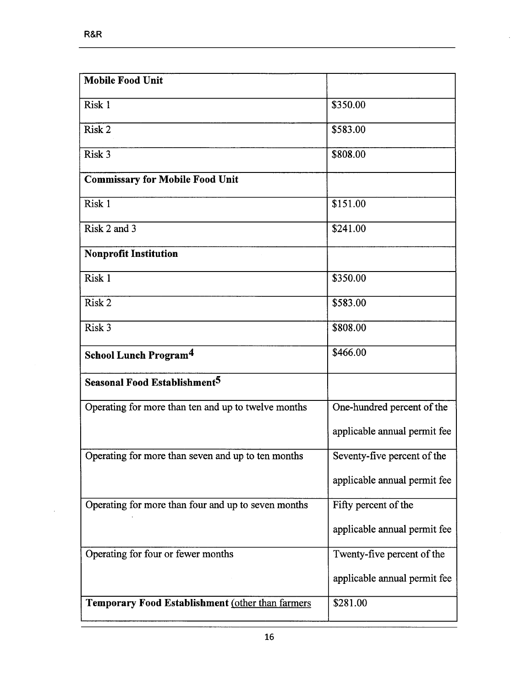$\bar{\beta}$ 

| <b>Mobile Food Unit</b>                             |                              |
|-----------------------------------------------------|------------------------------|
| Risk 1                                              | \$350.00                     |
| Risk 2                                              | \$583.00                     |
| Risk 3                                              | \$808.00                     |
| <b>Commissary for Mobile Food Unit</b>              |                              |
| Risk 1                                              | \$151.00                     |
| Risk 2 and 3                                        | \$241.00                     |
| <b>Nonprofit Institution</b>                        |                              |
| Risk 1                                              | \$350.00                     |
| Risk 2                                              | \$583.00                     |
| Risk 3                                              | \$808.00                     |
| School Lunch Program <sup>4</sup>                   | \$466.00                     |
| Seasonal Food Establishment <sup>5</sup>            |                              |
|                                                     |                              |
| Operating for more than ten and up to twelve months | One-hundred percent of the   |
|                                                     | applicable annual permit fee |
| Operating for more than seven and up to ten months  | Seventy-five percent of the  |
|                                                     | applicable annual permit fee |
| Operating for more than four and up to seven months | Fifty percent of the         |
|                                                     | applicable annual permit fee |
| Operating for four or fewer months                  | Twenty-five percent of the   |
|                                                     | applicable annual permit fee |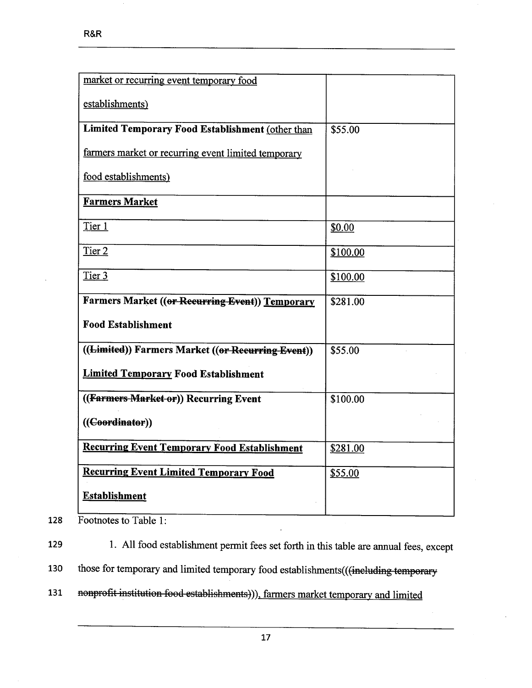| market or recurring event temporary food            |          |
|-----------------------------------------------------|----------|
| establishments)                                     |          |
| Limited Temporary Food Establishment (other than    | \$55.00  |
| farmers market or recurring event limited temporary |          |
| food establishments)                                |          |
| <b>Farmers Market</b>                               |          |
| Tier 1                                              | \$0.00   |
| Tier 2                                              | \$100.00 |
| Tier 3                                              | \$100.00 |
| Farmers Market ((or Recurring Event)) Temporary     | \$281.00 |
| <b>Food Establishment</b>                           |          |
| ((Limited)) Farmers Market ((or Recurring Event))   | \$55.00  |
| <b>Limited Temporary Food Establishment</b>         |          |
| ((Farmers Market or)) Recurring Event               | \$100.00 |
| (( <b>Coordinator</b> ))                            |          |
| <b>Recurring Event Temporary Food Establishment</b> | \$281.00 |
| <b>Recurring Event Limited Temporary Food</b>       | \$55.00  |
| <b>Establishment</b>                                |          |

128 Footnotes to Table 1:

129 1. All food establishment permit fees set forth in this table are anual fees, except

130 those for temporary and limited temporary food establishments(((ineluding temporary

131 nonprofit institution food establishments))), farmers market temporary and limited

17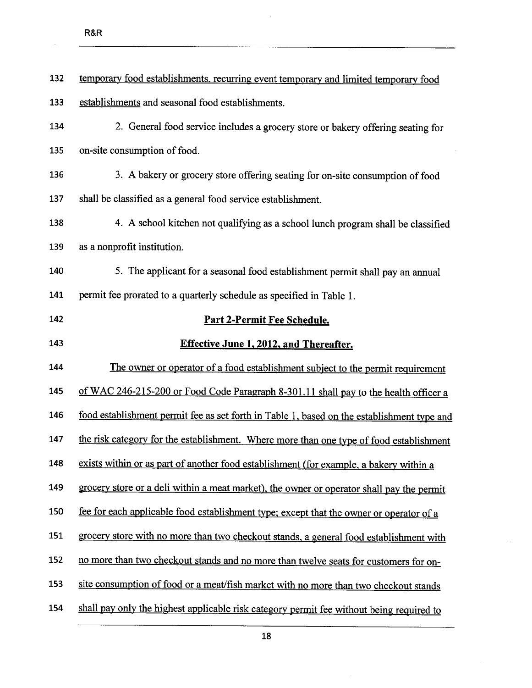| 132 | temporary food establishments, recurring event temporary and limited temporary food        |
|-----|--------------------------------------------------------------------------------------------|
| 133 | establishments and seasonal food establishments.                                           |
| 134 | 2. General food service includes a grocery store or bakery offering seating for            |
| 135 | on-site consumption of food.                                                               |
| 136 | 3. A bakery or grocery store offering seating for on-site consumption of food              |
| 137 | shall be classified as a general food service establishment.                               |
| 138 | 4. A school kitchen not qualifying as a school lunch program shall be classified           |
| 139 | as a nonprofit institution.                                                                |
| 140 | 5. The applicant for a seasonal food establishment permit shall pay an annual              |
| 141 | permit fee prorated to a quarterly schedule as specified in Table 1.                       |
| 142 | Part 2-Permit Fee Schedule.                                                                |
| 143 | <b>Effective June 1, 2012, and Thereafter.</b>                                             |
| 144 | The owner or operator of a food establishment subject to the permit requirement            |
| 145 | of WAC 246-215-200 or Food Code Paragraph 8-301.11 shall pay to the health officer a       |
| 146 | food establishment permit fee as set forth in Table 1, based on the establishment type and |
| 147 | the risk category for the establishment. Where more than one type of food establishment    |
| 148 | exists within or as part of another food establishment (for example, a bakery within a     |
| 149 | grocery store or a deli within a meat market), the owner or operator shall pay the permit  |
| 150 | fee for each applicable food establishment type; except that the owner or operator of a    |
| 151 | grocery store with no more than two checkout stands, a general food establishment with     |
| 152 | no more than two checkout stands and no more than twelve seats for customers for on-       |
| 153 | site consumption of food or a meat/fish market with no more than two checkout stands       |
| 154 | shall pay only the highest applicable risk category permit fee without being required to   |

 $\mathbf{r}$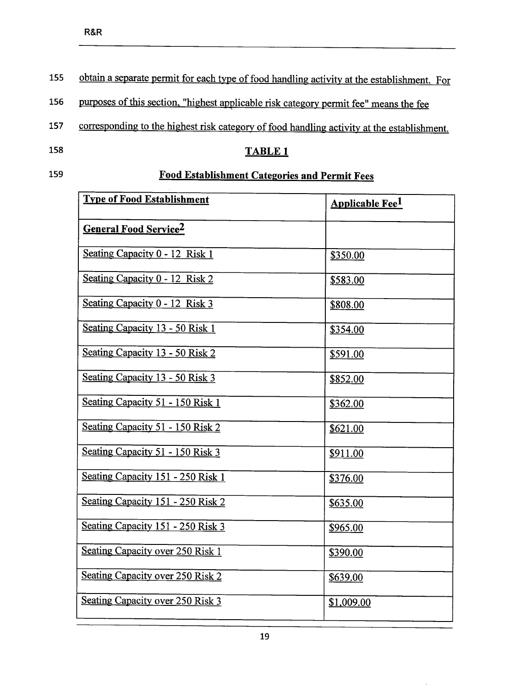155 obtain a separate permit for each type of food handling activity at the establishment. For

156 purposes of this section, "highest applicable risk category permit fee" means the fee

157 corresponding to the highest risk category of food handling activity at the establishment.<br>158 TABLE 1

## 159 **Food Establishment Categories and Permit Fees**

| <b>Type of Food Establishment</b> | <b>Applicable Fee<sup>1</sup></b> |
|-----------------------------------|-----------------------------------|
| <b>General Food Service2</b>      |                                   |
| Seating Capacity 0 - 12 Risk 1    | \$350.00                          |
| Seating Capacity 0 - 12 Risk 2    | \$583.00                          |
| Seating Capacity 0 - 12 Risk 3    | \$808.00                          |
| Seating Capacity 13 - 50 Risk 1   | \$354.00                          |
| Seating Capacity 13 - 50 Risk 2   | \$591.00                          |
| Seating Capacity 13 - 50 Risk 3   | \$852.00                          |
| Seating Capacity 51 - 150 Risk 1  | \$362.00                          |
| Seating Capacity 51 - 150 Risk 2  | \$621.00                          |
| Seating Capacity 51 - 150 Risk 3  | \$911.00                          |
| Seating Capacity 151 - 250 Risk 1 | \$376.00                          |
| Seating Capacity 151 - 250 Risk 2 | \$635.00                          |
| Seating Capacity 151 - 250 Risk 3 | \$965.00                          |
| Seating Capacity over 250 Risk 1  | \$390.00                          |
| Seating Capacity over 250 Risk 2  | \$639.00                          |
| Seating Capacity over 250 Risk 3  | \$1,009.00                        |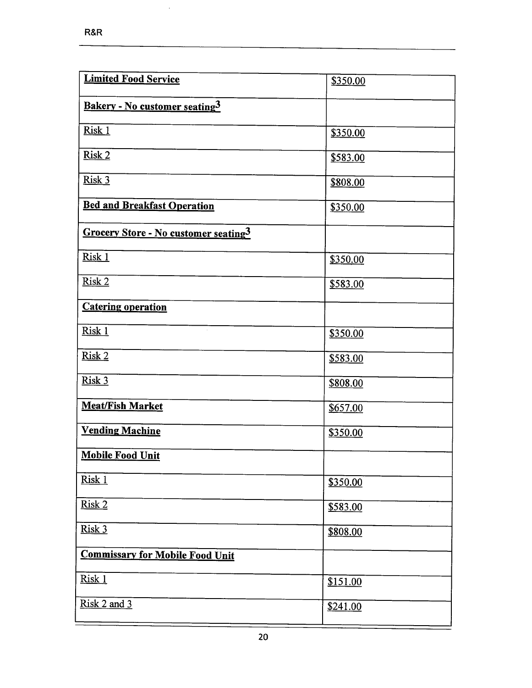$\bar{\beta}$ 

| <b>Limited Food Service</b>            | \$350.00 |
|----------------------------------------|----------|
| Bakery - No customer seating3          |          |
| Risk 1                                 | \$350.00 |
| Risk 2                                 | \$583.00 |
| Risk 3                                 | \$808.00 |
| <b>Bed and Breakfast Operation</b>     | \$350.00 |
| Grocery Store - No customer seating3   |          |
| Risk 1                                 | \$350.00 |
| Risk 2                                 | \$583.00 |
| <b>Catering operation</b>              |          |
| Risk 1                                 | \$350.00 |
| Risk 2                                 | \$583.00 |
| Risk 3                                 | \$808.00 |
| <b>Meat/Fish Market</b>                | \$657.00 |
| <b>Vending Machine</b>                 | \$350.00 |
| <b>Mobile Food Unit</b>                |          |
| Risk 1                                 | \$350.00 |
| Risk 2                                 | \$583.00 |
| Risk 3                                 | \$808.00 |
| <b>Commissary for Mobile Food Unit</b> |          |
| Risk 1                                 | \$151.00 |
| Risk 2 and 3                           | \$241.00 |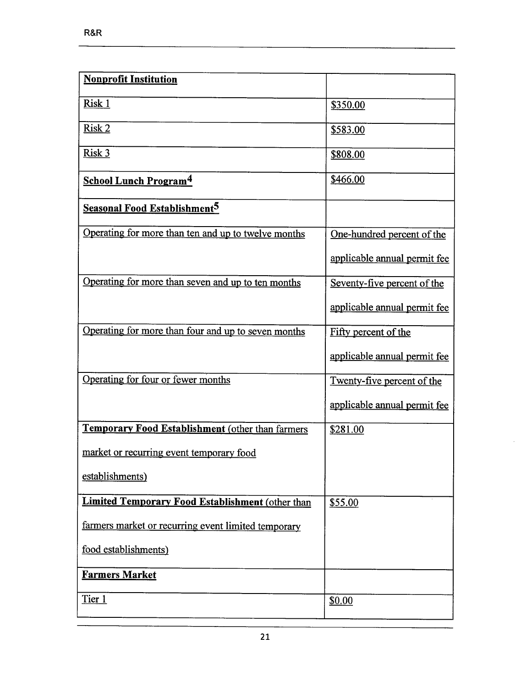| <b>Nonprofit Institution</b>                            |                              |
|---------------------------------------------------------|------------------------------|
| Risk 1                                                  | \$350.00                     |
| Risk 2                                                  | \$583.00                     |
| Risk 3                                                  | \$808.00                     |
| <b>School Lunch Program<sup>4</sup></b>                 | \$466.00                     |
| <b>Seasonal Food Establishment<sup>5</sup></b>          |                              |
| Operating for more than ten and up to twelve months     | One-hundred percent of the   |
|                                                         | applicable annual permit fee |
| Operating for more than seven and up to ten months      | Seventy-five percent of the  |
|                                                         | applicable annual permit fee |
| Operating for more than four and up to seven months     | Fifty percent of the         |
|                                                         | applicable annual permit fee |
| Operating for four or fewer months                      | Twenty-five percent of the   |
|                                                         | applicable annual permit fee |
| Temporary Food Establishment (other than farmers        | \$281.00                     |
| market or recurring event temporary food                |                              |
| establishments)                                         |                              |
| <b>Limited Temporary Food Establishment (other than</b> | \$55.00                      |
| farmers market or recurring event limited temporary     |                              |
| food establishments)                                    |                              |
| <b>Farmers Market</b>                                   |                              |
| Tier 1                                                  | \$0.00                       |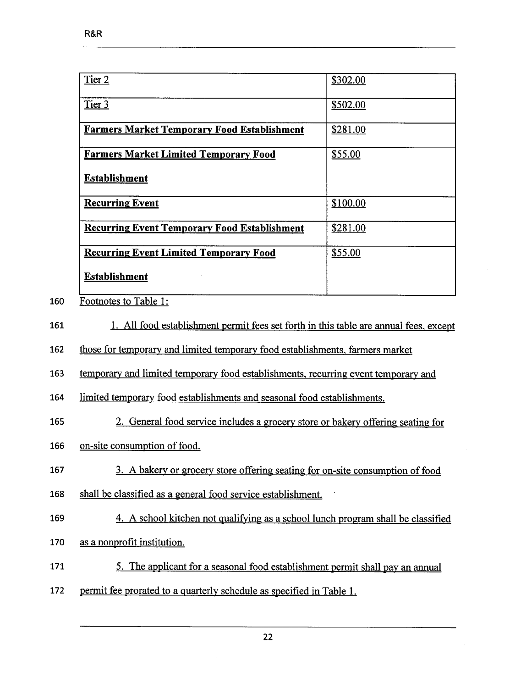| Tier 2                                                                                          | \$302.00 |
|-------------------------------------------------------------------------------------------------|----------|
| Tier 3                                                                                          | \$502.00 |
| <b>Farmers Market Temporary Food Establishment</b>                                              | \$281.00 |
| <b>Farmers Market Limited Temporary Food</b>                                                    | \$55.00  |
| <b>Establishment</b>                                                                            |          |
| <b>Recurring Event</b>                                                                          | \$100.00 |
| <b>Recurring Event Temporary Food Establishment</b>                                             | \$281.00 |
| <b>Recurring Event Limited Temporary Food</b>                                                   | \$55.00  |
| <b>Establishment</b>                                                                            |          |
| Footnotes to Table 1:                                                                           |          |
| $1 - \Delta U$ food onto blighere ant moment food ant family in this tail is an unusual fact to |          |

<sup>161 1.</sup> All food establishment permit fees set forth in this table are annual fees, except

162 those for temporary and limited temporary food establishments, farmers market

163 temporary and limited temporary food establishments, recurring event temporary and

164 limited temporary food establishments and seasonal food establishments.

- 165 2. General food service includes a grocery store or bakery offering seating for
- 166 on-site consumption of food.
- 167 3. A bakery or grocery store offering seating for on-site consumption of food
- 168 shall be classified as a general food service establishment.
- 169 4. A school kitchen not qualifying as a school lunch program shall be classified
- 170 as a nonprofit institution.
- 171 5. The applicant for a seasonal food establishment permit shall pay an anual
- 172 permit fee prorated to a quarterly schedule as specified in Table 1.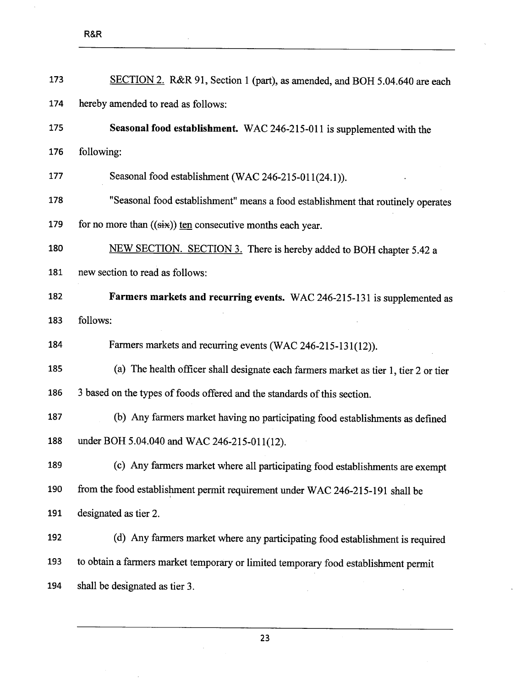$\bar{\mathcal{A}}$ 

| 173 | SECTION 2. R&R 91, Section 1 (part), as amended, and BOH 5.04.640 are each           |
|-----|--------------------------------------------------------------------------------------|
| 174 | hereby amended to read as follows:                                                   |
| 175 | Seasonal food establishment. WAC 246-215-011 is supplemented with the                |
| 176 | following:                                                                           |
| 177 | Seasonal food establishment (WAC 246-215-011(24.1)).                                 |
| 178 | "Seasonal food establishment" means a food establishment that routinely operates     |
| 179 | for no more than $((six))$ ten consecutive months each year.                         |
| 180 | NEW SECTION. SECTION 3. There is hereby added to BOH chapter 5.42 a                  |
| 181 | new section to read as follows:                                                      |
| 182 | Farmers markets and recurring events. WAC 246-215-131 is supplemented as             |
| 183 | follows:                                                                             |
| 184 | Farmers markets and recurring events (WAC 246-215-131(12)).                          |
| 185 | (a) The health officer shall designate each farmers market as tier 1, tier 2 or tier |
| 186 | 3 based on the types of foods offered and the standards of this section.             |
| 187 | (b) Any farmers market having no participating food establishments as defined        |
| 188 | under BOH 5.04.040 and WAC 246-215-011(12).                                          |
| 189 | (c) Any farmers market where all participating food establishments are exempt        |
| 190 | from the food establishment permit requirement under WAC 246-215-191 shall be        |
| 191 | designated as tier 2.                                                                |
| 192 | (d) Any farmers market where any participating food establishment is required        |
| 193 | to obtain a farmers market temporary or limited temporary food establishment permit  |
| 194 | shall be designated as tier 3.                                                       |

23

 $\bar{z}$ 

 $\bar{z}$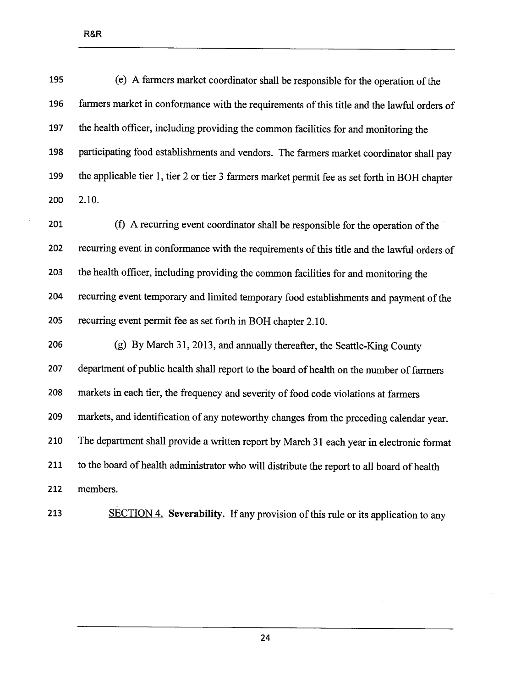| 195 | (e) A farmers market coordinator shall be responsible for the operation of the                |
|-----|-----------------------------------------------------------------------------------------------|
| 196 | farmers market in conformance with the requirements of this title and the lawful orders of    |
| 197 | the health officer, including providing the common facilities for and monitoring the          |
| 198 | participating food establishments and vendors. The farmers market coordinator shall pay       |
| 199 | the applicable tier 1, tier 2 or tier 3 farmers market permit fee as set forth in BOH chapter |
| 200 | 2.10.                                                                                         |

201 (f) A recurring event coordinator shall be responsible for the operation of the 202 recurring event in conformance with the requirements of this title and the lawful orders of 203 the health officer, including providing the common facilties for and monitoring the 204 recurring event temporary and limited temporary food establishments and payment of the 205 recuring event permit fee as set forth in BOH chapter 2.10.

206 (g) By March 31,2013, and anually thereafter, the Seattle-King County 207 department of public health shall report to the board of health on the number of farmers 208 markets in each tier, the frequency and severity of food code violations at farmers 209 markets, and identification of any noteworthy changes from the preceding calendar year. 210 The department shall provide a written report by March 31 each year in electronic format 211 to the board of health administrator who wil distribute the report to all board of health 212 members.

213 SECTION 4. Severability. If any provision of this rule or its application to any

24